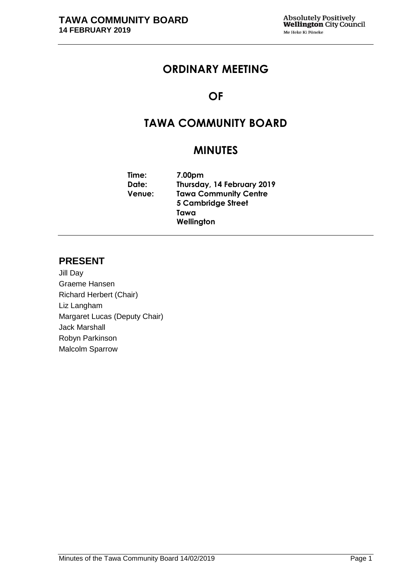# **ORDINARY MEETING**

# **OF**

# **TAWA COMMUNITY BOARD**

# **MINUTES**

**Time: 7.00pm Date: Thursday, 14 February 2019 Venue: Tawa Community Centre 5 Cambridge Street Tawa Wellington**

## **PRESENT**

Jill Day Graeme Hansen Richard Herbert (Chair) Liz Langham Margaret Lucas (Deputy Chair) Jack Marshall Robyn Parkinson Malcolm Sparrow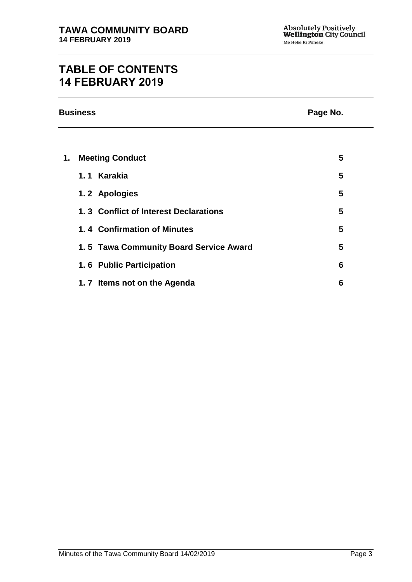# **TABLE OF CONTENTS 14 FEBRUARY 2019**

| <b>Business</b> | Page No. |
|-----------------|----------|
|                 |          |

| 1. | <b>Meeting Conduct</b>                 | 5 |
|----|----------------------------------------|---|
|    | 1.1 Karakia                            | 5 |
|    | 1.2 Apologies                          | 5 |
|    | 1.3 Conflict of Interest Declarations  | 5 |
|    | 1.4 Confirmation of Minutes            | 5 |
|    | 1.5 Tawa Community Board Service Award | 5 |
|    | 1.6 Public Participation               | 6 |
|    | 1.7 Items not on the Agenda            | 6 |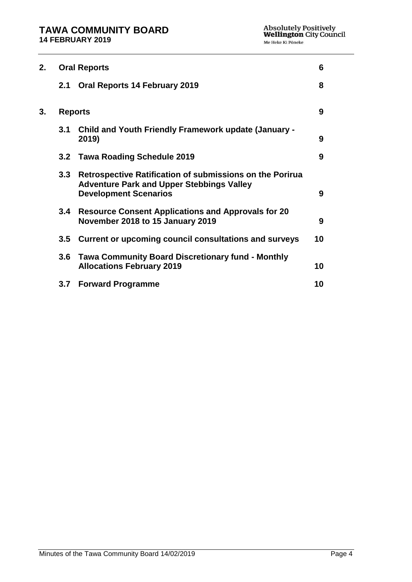| 2.<br><b>Oral Reports</b> |                                                                                                                                              | 6                                            |
|---------------------------|----------------------------------------------------------------------------------------------------------------------------------------------|----------------------------------------------|
| 2.1                       | <b>Oral Reports 14 February 2019</b>                                                                                                         | 8                                            |
| <b>Reports</b>            |                                                                                                                                              | 9                                            |
| 3.1                       | Child and Youth Friendly Framework update (January -<br>2019)                                                                                | 9                                            |
|                           |                                                                                                                                              | 9                                            |
|                           | Retrospective Ratification of submissions on the Porirua<br><b>Adventure Park and Upper Stebbings Valley</b><br><b>Development Scenarios</b> | 9                                            |
| $3.4^{\circ}$             | <b>Resource Consent Applications and Approvals for 20</b><br>November 2018 to 15 January 2019                                                | 9                                            |
| $3.5^{\circ}$             | Current or upcoming council consultations and surveys                                                                                        | 10                                           |
|                           | <b>Tawa Community Board Discretionary fund - Monthly</b><br><b>Allocations February 2019</b>                                                 | 10                                           |
| 3.7                       | <b>Forward Programme</b>                                                                                                                     | 10                                           |
|                           |                                                                                                                                              | 3.2 Tawa Roading Schedule 2019<br>3.3<br>3.6 |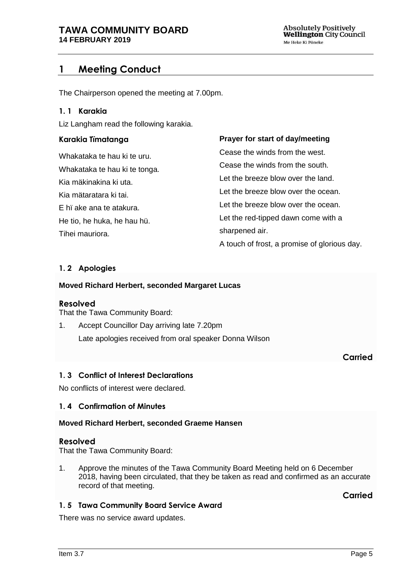# <span id="page-4-0"></span>**1 Meeting Conduct**

The Chairperson opened the meeting at 7.00pm.

#### **1. 1 Karakia**

Liz Langham read the following karakia.

### **Karakia Tïmatanga Prayer for start of day/meeting**

| Whakataka te hau ki te uru.   | Cease the winds from the west.               |
|-------------------------------|----------------------------------------------|
| Whakataka te hau ki te tonga. | Cease the winds from the south.              |
| Kia mäkinakina ki uta.        | Let the breeze blow over the land.           |
| Kia mätaratara ki tai.        | Let the breeze blow over the ocean.          |
| E hi ake ana te atakura.      | Let the breeze blow over the ocean.          |
| He tio, he huka, he hau hü.   | Let the red-tipped dawn come with a          |
| Tihei mauriora.               | sharpened air.                               |
|                               | A touch of frost, a promise of glorious day. |

## <span id="page-4-1"></span>**1. 2 Apologies**

#### **Moved Richard Herbert, seconded Margaret Lucas**

#### **Resolved**

That the Tawa Community Board:

1. Accept Councillor Day arriving late 7.20pm Late apologies received from oral speaker Donna Wilson

## **Carried**

#### <span id="page-4-2"></span>**1. 3 Conflict of Interest Declarations**

No conflicts of interest were declared.

## <span id="page-4-3"></span>**1. 4 Confirmation of Minutes**

#### **Moved Richard Herbert, seconded Graeme Hansen**

## **Resolved**

That the Tawa Community Board:

1. Approve the minutes of the Tawa Community Board Meeting held on 6 December 2018, having been circulated, that they be taken as read and confirmed as an accurate record of that meeting.

**Carried**

## <span id="page-4-4"></span>**1. 5 Tawa Community Board Service Award**

There was no service award updates.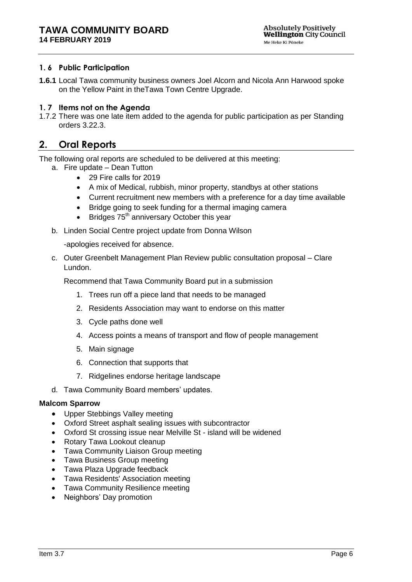### <span id="page-5-0"></span>**1. 6 Public Participation**

**1.6.1** Local Tawa community business owners Joel Alcorn and Nicola Ann Harwood spoke on the Yellow Paint in theTawa Town Centre Upgrade.

#### <span id="page-5-1"></span>**1. 7 Items not on the Agenda**

1.7.2 There was one late item added to the agenda for public participation as per Standing orders 3.22.3.

## <span id="page-5-2"></span>**2. Oral Reports**

The following oral reports are scheduled to be delivered at this meeting:

- a. Fire update Dean Tutton
	- 29 Fire calls for 2019
	- A mix of Medical, rubbish, minor property, standbys at other stations
	- Current recruitment new members with a preference for a day time available
	- Bridge going to seek funding for a thermal imaging camera
	- $\bullet$  Bridges 75<sup>th</sup> anniversary October this year
- b. Linden Social Centre project update from Donna Wilson

-apologies received for absence.

c. Outer Greenbelt Management Plan Review public consultation proposal – Clare Lundon.

Recommend that Tawa Community Board put in a submission

- 1. Trees run off a piece land that needs to be managed
- 2. Residents Association may want to endorse on this matter
- 3. Cycle paths done well
- 4. Access points a means of transport and flow of people management
- 5. Main signage
- 6. Connection that supports that
- 7. Ridgelines endorse heritage landscape
- d. Tawa Community Board members' updates.

#### **Malcom Sparrow**

- Upper Stebbings Valley meeting
- Oxford Street asphalt sealing issues with subcontractor
- Oxford St crossing issue near Melville St island will be widened
- Rotary Tawa Lookout cleanup
- Tawa Community Liaison Group meeting
- Tawa Business Group meeting
- Tawa Plaza Upgrade feedback
- Tawa Residents' Association meeting
- Tawa Community Resilience meeting
- Neighbors' Day promotion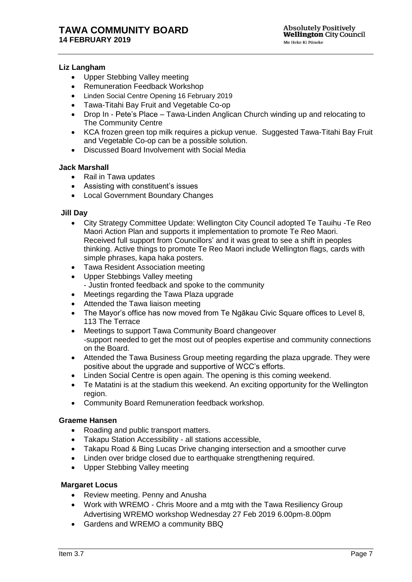#### **Liz Langham**

- Upper Stebbing Valley meeting
- Remuneration Feedback Workshop
- Linden Social Centre Opening 16 February 2019
- Tawa-Titahi Bay Fruit and Vegetable Co-op
- Drop In Pete's Place Tawa-Linden Anglican Church winding up and relocating to The Community Centre
- KCA frozen green top milk requires a pickup venue. Suggested Tawa-Titahi Bay Fruit and Vegetable Co-op can be a possible solution.
- Discussed Board Involvement with Social Media

#### **Jack Marshall**

- Rail in Tawa updates
- Assisting with constituent's issues
- Local Government Boundary Changes

#### **Jill Day**

- City Strategy Committee Update: Wellington City Council adopted Te Tauihu -Te Reo Maori Action Plan and supports it implementation to promote Te Reo Maori. Received full support from Councillors' and it was great to see a shift in peoples thinking. Active things to promote Te Reo Maori include Wellington flags, cards with simple phrases, kapa haka posters.
- Tawa Resident Association meeting
- Upper Stebbings Valley meeting - Justin fronted feedback and spoke to the community
- Meetings regarding the Tawa Plaza upgrade
- Attended the Tawa liaison meeting
- The Mayor's office has now moved from Te Ngākau Civic Square offices to Level 8, 113 The Terrace
- Meetings to support Tawa Community Board changeover -support needed to get the most out of peoples expertise and community connections on the Board.
- Attended the Tawa Business Group meeting regarding the plaza upgrade. They were positive about the upgrade and supportive of WCC's efforts.
- Linden Social Centre is open again. The opening is this coming weekend.
- Te Matatini is at the stadium this weekend. An exciting opportunity for the Wellington region.
- Community Board Remuneration feedback workshop.

#### **Graeme Hansen**

- Roading and public transport matters.
- Takapu Station Accessibility all stations accessible,
- Takapu Road & Bing Lucas Drive changing intersection and a smoother curve
- Linden over bridge closed due to earthquake strengthening required.
- Upper Stebbing Valley meeting

#### **Margaret Locus**

- Review meeting. Penny and Anusha
- Work with WREMO Chris Moore and a mtg with the Tawa Resiliency Group Advertising WREMO workshop Wednesday 27 Feb 2019 6.00pm-8.00pm
- Gardens and WREMO a community BBQ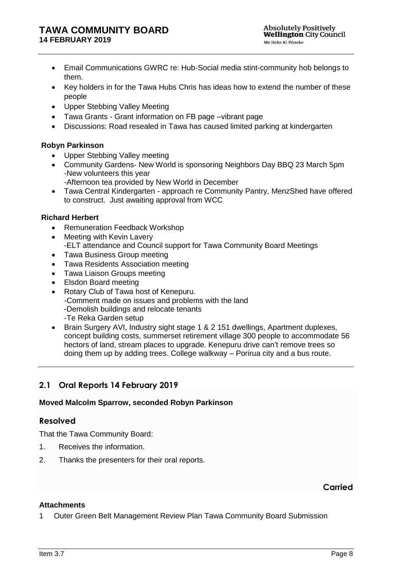- Email Communications GWRC re: Hub-Social media stint-community hob belongs to them.
- Key holders in for the Tawa Hubs Chris has ideas how to extend the number of these people
- Upper Stebbing Valley Meeting
- Tawa Grants Grant information on FB page –vibrant page
- Discussions: Road resealed in Tawa has caused limited parking at kindergarten

### **Robyn Parkinson**

- Upper Stebbing Valley meeting
- Community Gardens- New World is sponsoring Neighbors Day BBQ 23 March 5pm -New volunteers this year
	- -Afternoon tea provided by New World in December
- Tawa Central Kindergarten approach re Community Pantry, MenzShed have offered to construct. Just awaiting approval from WCC

### **Richard Herbert**

- Remuneration Feedback Workshop
- Meeting with Kevin Lavery -ELT attendance and Council support for Tawa Community Board Meetings
- Tawa Business Group meeting
- Tawa Residents Association meeting
- Tawa Liaison Groups meeting
- Elsdon Board meeting
- Rotary Club of Tawa host of Kenepuru. -Comment made on issues and problems with the land -Demolish buildings and relocate tenants -Te Reka Garden setup
- Brain Surgery AVI, Industry sight stage 1 & 2 151 dwellings, Apartment duplexes, concept building costs, summerset retirement village 300 people to accommodate 56 hectors of land, stream places to upgrade. Kenepuru drive can't remove trees so doing them up by adding trees. College walkway – Porirua city and a bus route.

## <span id="page-7-0"></span>**2.1 Oral Reports 14 February 2019**

## **Moved Malcolm Sparrow, seconded Robyn Parkinson**

## **Resolved**

That the Tawa Community Board:

- 1. Receives the information.
- 2. Thanks the presenters for their oral reports.

#### **Carried**

#### **Attachments**

<span id="page-7-1"></span>1 Outer Green Belt Management Review Plan Tawa Community Board Submission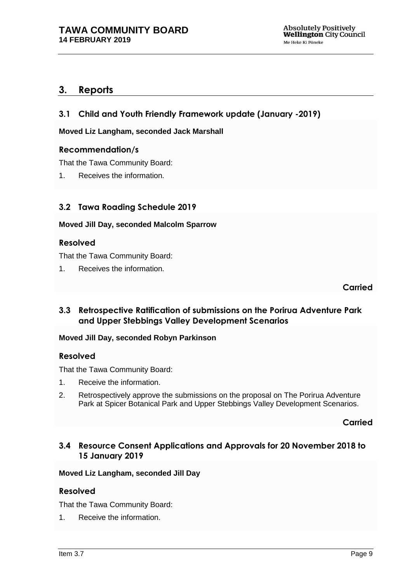## **3. Reports**

<span id="page-8-0"></span>**3.1 Child and Youth Friendly Framework update (January -2019)**

**Moved Liz Langham, seconded Jack Marshall**

### **Recommendation/s**

That the Tawa Community Board:

1. Receives the information.

## <span id="page-8-1"></span>**3.2 Tawa Roading Schedule 2019**

#### **Moved Jill Day, seconded Malcolm Sparrow**

### **Resolved**

That the Tawa Community Board:

1. Receives the information.

**Carried**

<span id="page-8-2"></span>**3.3 Retrospective Ratification of submissions on the Porirua Adventure Park and Upper Stebbings Valley Development Scenarios**

#### **Moved Jill Day, seconded Robyn Parkinson**

#### **Resolved**

That the Tawa Community Board:

- 1. Receive the information.
- 2. Retrospectively approve the submissions on the proposal on The Porirua Adventure Park at Spicer Botanical Park and Upper Stebbings Valley Development Scenarios.

**Carried**

## <span id="page-8-3"></span>**3.4 Resource Consent Applications and Approvals for 20 November 2018 to 15 January 2019**

#### **Moved Liz Langham, seconded Jill Day**

## **Resolved**

That the Tawa Community Board:

1. Receive the information.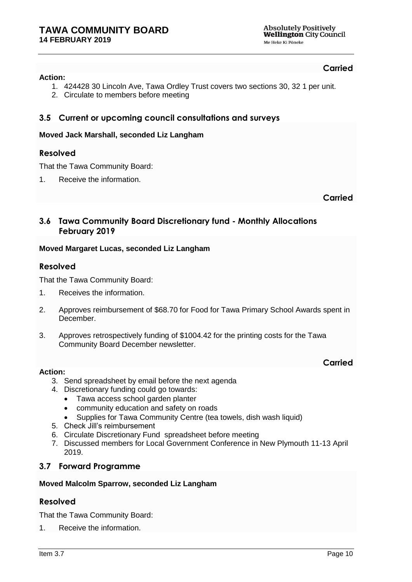## **Carried**

#### **Action:**

- 1. 424428 30 Lincoln Ave, Tawa Ordley Trust covers two sections 30, 32 1 per unit.
- 2. Circulate to members before meeting

## <span id="page-9-0"></span>**3.5 Current or upcoming council consultations and surveys**

### **Moved Jack Marshall, seconded Liz Langham**

## **Resolved**

That the Tawa Community Board:

1. Receive the information.

**Carried**

## <span id="page-9-1"></span>**3.6 Tawa Community Board Discretionary fund - Monthly Allocations February 2019**

### **Moved Margaret Lucas, seconded Liz Langham**

## **Resolved**

That the Tawa Community Board:

- 1. Receives the information.
- 2. Approves reimbursement of \$68.70 for Food for Tawa Primary School Awards spent in December.
- 3. Approves retrospectively funding of \$1004.42 for the printing costs for the Tawa Community Board December newsletter.

#### **Action:**

## **Carried**

- 3. Send spreadsheet by email before the next agenda
- 4. Discretionary funding could go towards:
	- Tawa access school garden planter
	- community education and safety on roads
	- Supplies for Tawa Community Centre (tea towels, dish wash liquid)
- 5. Check Jill's reimbursement
- 6. Circulate Discretionary Fund spreadsheet before meeting
- 7. Discussed members for Local Government Conference in New Plymouth 11-13 April 2019.

## <span id="page-9-2"></span>**3.7 Forward Programme**

#### **Moved Malcolm Sparrow, seconded Liz Langham**

## **Resolved**

That the Tawa Community Board:

1. Receive the information.